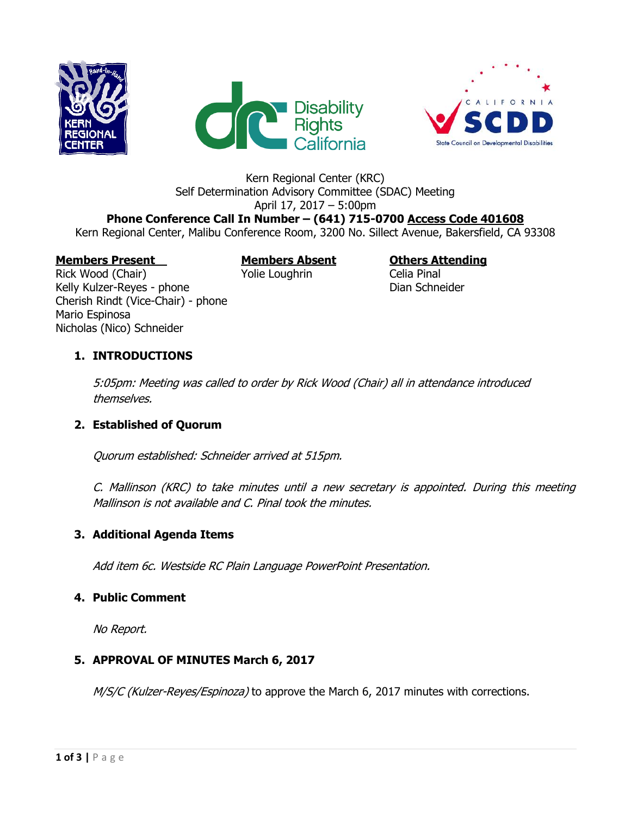





#### Kern Regional Center (KRC) Self Determination Advisory Committee (SDAC) Meeting April 17, 2017 – 5:00pm

# **Phone Conference Call In Number – (641) 715-0700 Access Code 401608**

Kern Regional Center, Malibu Conference Room, 3200 No. Sillect Avenue, Bakersfield, CA 93308

# **Members Present Members Absent Others Attending**

Rick Wood (Chair) **The Volie Loughrin** Celia Pinal Kelly Kulzer-Reyes - phone Dian Schneider Cherish Rindt (Vice-Chair) - phone Mario Espinosa Nicholas (Nico) Schneider

## **1. INTRODUCTIONS**

5:05pm: Meeting was called to order by Rick Wood (Chair) all in attendance introduced themselves.

# **2. Established of Quorum**

Quorum established: Schneider arrived at 515pm.

C. Mallinson (KRC) to take minutes until a new secretary is appointed. During this meeting Mallinson is not available and C. Pinal took the minutes.

### **3. Additional Agenda Items**

Add item 6c. Westside RC Plain Language PowerPoint Presentation.

### **4. Public Comment**

No Report.

### **5. APPROVAL OF MINUTES March 6, 2017**

M/S/C (Kulzer-Reyes/Espinoza) to approve the March 6, 2017 minutes with corrections.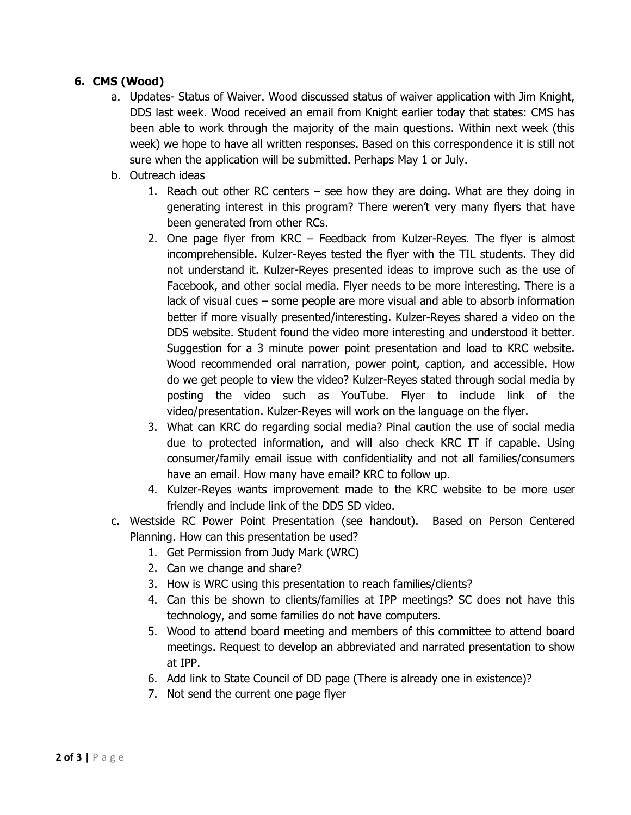### **6. CMS (Wood)**

- a. Updates- Status of Waiver. Wood discussed status of waiver application with Jim Knight, DDS last week. Wood received an email from Knight earlier today that states: CMS has been able to work through the majority of the main questions. Within next week (this week) we hope to have all written responses. Based on this correspondence it is still not sure when the application will be submitted. Perhaps May 1 or July.
- b. Outreach ideas
	- 1. Reach out other RC centers see how they are doing. What are they doing in generating interest in this program? There weren't very many flyers that have been generated from other RCs.
	- 2. One page flyer from KRC Feedback from Kulzer-Reyes. The flyer is almost incomprehensible. Kulzer-Reyes tested the flyer with the TIL students. They did not understand it. Kulzer-Reyes presented ideas to improve such as the use of Facebook, and other social media. Flyer needs to be more interesting. There is a lack of visual cues – some people are more visual and able to absorb information better if more visually presented/interesting. Kulzer-Reyes shared a video on the DDS website. Student found the video more interesting and understood it better. Suggestion for a 3 minute power point presentation and load to KRC website. Wood recommended oral narration, power point, caption, and accessible. How do we get people to view the video? Kulzer-Reyes stated through social media by posting the video such as YouTube. Flyer to include link of the video/presentation. Kulzer-Reyes will work on the language on the flyer.
	- 3. What can KRC do regarding social media? Pinal caution the use of social media due to protected information, and will also check KRC IT if capable. Using consumer/family email issue with confidentiality and not all families/consumers have an email. How many have email? KRC to follow up.
	- 4. Kulzer-Reyes wants improvement made to the KRC website to be more user friendly and include link of the DDS SD video.
- c. Westside RC Power Point Presentation (see handout). Based on Person Centered Planning. How can this presentation be used?
	- 1. Get Permission from Judy Mark (WRC)
	- 2. Can we change and share?
	- 3. How is WRC using this presentation to reach families/clients?
	- 4. Can this be shown to clients/families at IPP meetings? SC does not have this technology, and some families do not have computers.
	- 5. Wood to attend board meeting and members of this committee to attend board meetings. Request to develop an abbreviated and narrated presentation to show at IPP.
	- 6. Add link to State Council of DD page (There is already one in existence)?
	- 7. Not send the current one page flyer